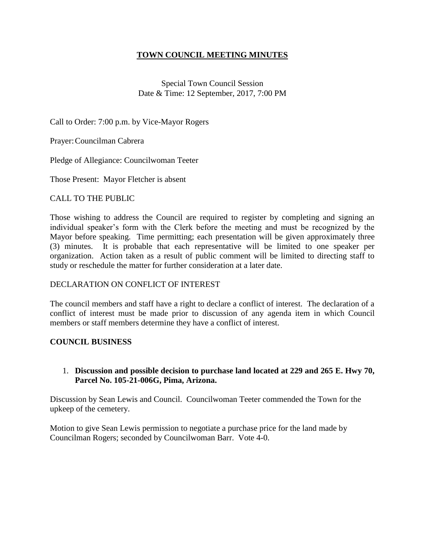# **TOWN COUNCIL MEETING MINUTES**

Special Town Council Session Date & Time: 12 September, 2017, 7:00 PM

Call to Order: 7:00 p.m. by Vice-Mayor Rogers

Prayer:Councilman Cabrera

Pledge of Allegiance: Councilwoman Teeter

Those Present: Mayor Fletcher is absent

# CALL TO THE PUBLIC

Those wishing to address the Council are required to register by completing and signing an individual speaker's form with the Clerk before the meeting and must be recognized by the Mayor before speaking. Time permitting; each presentation will be given approximately three (3) minutes. It is probable that each representative will be limited to one speaker per organization. Action taken as a result of public comment will be limited to directing staff to study or reschedule the matter for further consideration at a later date.

#### DECLARATION ON CONFLICT OF INTEREST

The council members and staff have a right to declare a conflict of interest. The declaration of a conflict of interest must be made prior to discussion of any agenda item in which Council members or staff members determine they have a conflict of interest.

# **COUNCIL BUSINESS**

# 1. **Discussion and possible decision to purchase land located at 229 and 265 E. Hwy 70, Parcel No. 105-21-006G, Pima, Arizona.**

Discussion by Sean Lewis and Council. Councilwoman Teeter commended the Town for the upkeep of the cemetery.

Motion to give Sean Lewis permission to negotiate a purchase price for the land made by Councilman Rogers; seconded by Councilwoman Barr. Vote 4-0.